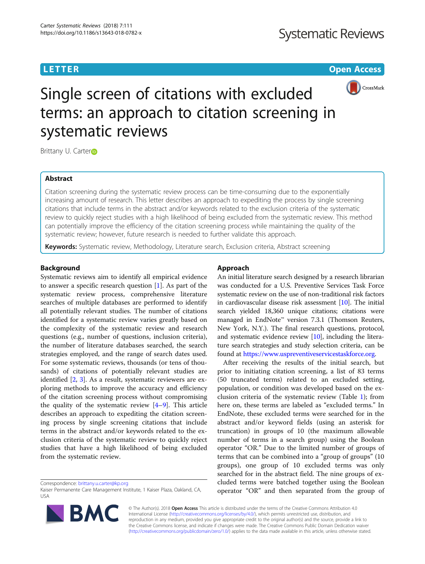**LETTER CONSTRUCTION CONSTRUCTION** 



Single screen of citations with excluded terms: an approach to citation screening in systematic reviews

Brittany U. Carter

# Abstract

Citation screening during the systematic review process can be time-consuming due to the exponentially increasing amount of research. This letter describes an approach to expediting the process by single screening citations that include terms in the abstract and/or keywords related to the exclusion criteria of the systematic review to quickly reject studies with a high likelihood of being excluded from the systematic review. This method can potentially improve the efficiency of the citation screening process while maintaining the quality of the systematic review; however, future research is needed to further validate this approach.

Keywords: Systematic review, Methodology, Literature search, Exclusion criteria, Abstract screening

## Background

Systematic reviews aim to identify all empirical evidence to answer a specific research question  $[1]$  $[1]$ . As part of the systematic review process, comprehensive literature searches of multiple databases are performed to identify all potentially relevant studies. The number of citations identified for a systematic review varies greatly based on the complexity of the systematic review and research questions (e.g., number of questions, inclusion criteria), the number of literature databases searched, the search strategies employed, and the range of search dates used. For some systematic reviews, thousands (or tens of thousands) of citations of potentially relevant studies are identified [\[2](#page-3-0), [3\]](#page-3-0). As a result, systematic reviewers are exploring methods to improve the accuracy and efficiency of the citation screening process without compromising the quality of the systematic review  $[4-9]$  $[4-9]$  $[4-9]$ . This article describes an approach to expediting the citation screening process by single screening citations that include terms in the abstract and/or keywords related to the exclusion criteria of the systematic review to quickly reject studies that have a high likelihood of being excluded from the systematic review.

Correspondence: [brittany.u.carter@kp.org](mailto:brittany.u.carter@kp.org)

Kaiser Permanente Care Management Institute, 1 Kaiser Plaza, Oakland, CA, USA



# Approach

An initial literature search designed by a research librarian was conducted for a U.S. Preventive Services Task Force systematic review on the use of non-traditional risk factors in cardiovascular disease risk assessment [\[10\]](#page-3-0). The initial search yielded 18,360 unique citations; citations were managed in EndNote™ version 7.3.1 (Thomson Reuters, New York, N.Y.). The final research questions, protocol, and systematic evidence review  $[10]$ , including the literature search strategies and study selection criteria, can be found at <https://www.uspreventiveservicestaskforce.org>.

After receiving the results of the initial search, but prior to initiating citation screening, a list of 83 terms (50 truncated terms) related to an excluded setting, population, or condition was developed based on the exclusion criteria of the systematic review (Table [1\)](#page-1-0); from here on, these terms are labeled as "excluded terms." In EndNote, these excluded terms were searched for in the abstract and/or keyword fields (using an asterisk for truncation) in groups of 10 (the maximum allowable number of terms in a search group) using the Boolean operator "OR." Due to the limited number of groups of terms that can be combined into a "group of groups" (10 groups), one group of 10 excluded terms was only searched for in the abstract field. The nine groups of excluded terms were batched together using the Boolean operator "OR" and then separated from the group of

© The Author(s). 2018 Open Access This article is distributed under the terms of the Creative Commons Attribution 4.0 International License [\(http://creativecommons.org/licenses/by/4.0/](http://creativecommons.org/licenses/by/4.0/)), which permits unrestricted use, distribution, and reproduction in any medium, provided you give appropriate credit to the original author(s) and the source, provide a link to the Creative Commons license, and indicate if changes were made. The Creative Commons Public Domain Dedication waiver [\(http://creativecommons.org/publicdomain/zero/1.0/](http://creativecommons.org/publicdomain/zero/1.0/)) applies to the data made available in this article, unless otherwise stated.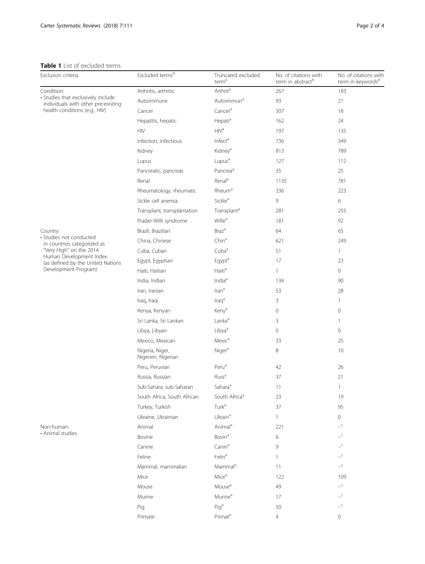# <span id="page-1-0"></span>Table 1 List of excluded terms<br>Exclusion criteria

| Exclusion criteria                                                                                                                                                                                                      | Excluded terms <sup>d</sup>           | Truncated excluded<br>term <sup>a</sup> | No. of citations with<br>term in abstract <sup>b</sup> | No. of citations with<br>term in keywords <sup>b</sup> |
|-------------------------------------------------------------------------------------------------------------------------------------------------------------------------------------------------------------------------|---------------------------------------|-----------------------------------------|--------------------------------------------------------|--------------------------------------------------------|
| Condition:<br>• Studies that exclusively include<br>individuals with other pre-existing<br>health conditions (e.g., HIV)                                                                                                | Arthritis, arthritic                  | Arthrit <sup>a</sup>                    | 267                                                    | 183                                                    |
|                                                                                                                                                                                                                         | Autoimmune                            | Autoimmun <sup>a</sup>                  | 93                                                     | 21                                                     |
|                                                                                                                                                                                                                         | Cancer                                | Cancer <sup>a</sup>                     | 307                                                    | 18                                                     |
|                                                                                                                                                                                                                         | Hepatitis, hepatic                    | Hepati <sup>a</sup>                     | 162                                                    | 24                                                     |
|                                                                                                                                                                                                                         | <b>HIV</b>                            | HIV <sup>a</sup>                        | 197                                                    | 135                                                    |
|                                                                                                                                                                                                                         | Infection, infectious                 | Infect <sup>a</sup>                     | 736                                                    | 349                                                    |
|                                                                                                                                                                                                                         | Kidney                                | Kidney <sup>a</sup>                     | 813                                                    | 789                                                    |
|                                                                                                                                                                                                                         | Lupus                                 | Lupus <sup>a</sup>                      | 127                                                    | 112                                                    |
|                                                                                                                                                                                                                         | Pancreatic, pancreas                  | Pancrea <sup>a</sup>                    | 35                                                     | 25                                                     |
|                                                                                                                                                                                                                         | Renal                                 | Renal <sup>a</sup>                      | 1135                                                   | 781                                                    |
|                                                                                                                                                                                                                         | Rheumatology, rheumatic               | Rheum <sup>a</sup>                      | 336                                                    | 223                                                    |
|                                                                                                                                                                                                                         | Sickle cell anemia                    | Sickle <sup>a</sup>                     | 9                                                      | 6                                                      |
|                                                                                                                                                                                                                         | Transplant, transplantation           | Transplant <sup>a</sup>                 | 281                                                    | 255                                                    |
|                                                                                                                                                                                                                         | Prader-Willi syndrome                 | Wille <sup>a</sup>                      | 181                                                    | 92                                                     |
| Country:<br>· Studies not conducted<br>in countries categorized as<br>"Very High" on the 2014<br>Human Development Index<br>(as defined by the United Nations<br>Development Program)<br>Non-human:<br>• Animal studies | Brazil, Brazilian                     | Braz <sup>a</sup>                       | 64                                                     | 65                                                     |
|                                                                                                                                                                                                                         | China, Chinese                        | Chin <sup>a</sup>                       | 621                                                    | 249                                                    |
|                                                                                                                                                                                                                         | Cuba, Cuban                           | Cuba <sup>a</sup>                       | 51                                                     | 1                                                      |
|                                                                                                                                                                                                                         | Egypt, Egyptian                       | Egypt <sup>a</sup>                      | 17                                                     | 23                                                     |
|                                                                                                                                                                                                                         | Haiti, Haitian                        | Haiti <sup>a</sup>                      | 1                                                      | 0                                                      |
|                                                                                                                                                                                                                         | India, Indian                         | India <sup>a</sup>                      | 136                                                    | 90                                                     |
|                                                                                                                                                                                                                         | Iran, Iranian                         | $\text{tran}^a$                         | 53                                                     | 28                                                     |
|                                                                                                                                                                                                                         | Iraq, Iraqi                           | $\text{Iraq}^a$                         | 3                                                      | 1                                                      |
|                                                                                                                                                                                                                         | Kenya, Kenyan                         | Keny <sup>a</sup>                       | $\mathbf 0$                                            | 0                                                      |
|                                                                                                                                                                                                                         | Sri Lanka, Sri Lankan                 | Lanka <sup>a</sup>                      | 3                                                      | 1                                                      |
|                                                                                                                                                                                                                         | Libya, Libyan                         | Libya <sup>a</sup>                      | $\mathbf 0$                                            | 0                                                      |
|                                                                                                                                                                                                                         | Mexico, Mexican                       | Mexic <sup>a</sup>                      | 33                                                     | 25                                                     |
|                                                                                                                                                                                                                         | Nigeria, Niger,<br>Nigerien, Nigerian | Niger <sup>a</sup>                      | 8                                                      | 10                                                     |
|                                                                                                                                                                                                                         | Peru, Peruvian                        | Peru <sup>a</sup>                       | 42                                                     | 26                                                     |
|                                                                                                                                                                                                                         | Russia, Russian                       | Russ <sup>a</sup>                       | 37                                                     | 21                                                     |
|                                                                                                                                                                                                                         | Sub-Sahara, sub-Saharan               | Sahara <sup>a</sup>                     | 11                                                     | 1                                                      |
|                                                                                                                                                                                                                         | South Africa, South African           | South Africa <sup>a</sup>               | 23                                                     | 19                                                     |
|                                                                                                                                                                                                                         | Turkey, Turkish                       | Turk <sup>a</sup>                       | 37                                                     | 95                                                     |
|                                                                                                                                                                                                                         | Ukraine, Ukrainian                    | Ukrain <sup>a</sup>                     | 1                                                      | $\circ$                                                |
|                                                                                                                                                                                                                         | Animal                                | Animal <sup>a</sup>                     | 221                                                    | $\overline{\phantom{a}}^c$                             |
|                                                                                                                                                                                                                         | Bovine                                | <b>Bovin</b> <sup>a</sup>               | 6                                                      | $-c$                                                   |
|                                                                                                                                                                                                                         | Canine                                | Canin <sup>a</sup>                      | 9                                                      | $\overline{\phantom{a}}^{\phantom{a}}$                 |
|                                                                                                                                                                                                                         | Feline                                | Felin <sup>a</sup>                      | 1                                                      | $\overline{C}$                                         |
|                                                                                                                                                                                                                         | Mammal, mammalian                     | Mammal <sup>a</sup>                     | 11                                                     | $-c$                                                   |
|                                                                                                                                                                                                                         | Mice                                  | Mice <sup>a</sup>                       | 122                                                    | 109                                                    |
|                                                                                                                                                                                                                         | Mouse                                 | Mouse <sup>a</sup>                      | 49                                                     | $-$ <sup>C</sup>                                       |
|                                                                                                                                                                                                                         | Murine                                | Murine <sup>a</sup>                     | 17                                                     | $-c$                                                   |
|                                                                                                                                                                                                                         | Pig                                   | Pig <sup>a</sup>                        | 50                                                     | $-c$                                                   |
|                                                                                                                                                                                                                         | Primate                               | Primat <sup>a</sup>                     | 4                                                      | $\circ$                                                |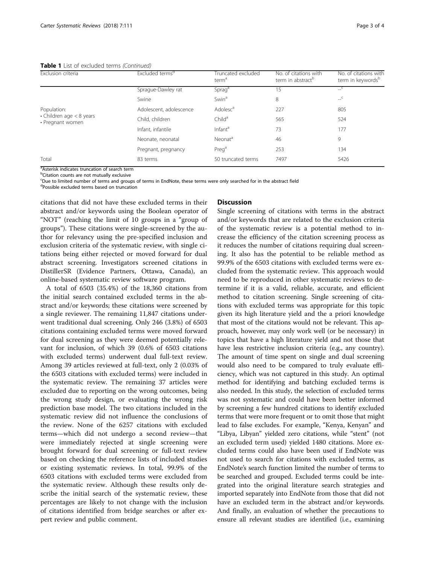Table 1 List of excluded terms (Continued)

| Exclusion criteria                                                  | Excluded terms <sup>a</sup> | Truncated excluded<br>term <sup>a</sup> | No. of citations with<br>term in abstract <sup>b</sup> | No. of citations with<br>term in keywords <sup>b</sup> |
|---------------------------------------------------------------------|-----------------------------|-----------------------------------------|--------------------------------------------------------|--------------------------------------------------------|
| Population:<br>$\cdot$ Children age $< 8$ years<br>• Pregnant women | Sprague-Dawley rat          | Sprag <sup>a</sup>                      | 15                                                     | $-$                                                    |
|                                                                     | Swine                       | Swin <sup>a</sup>                       | 8                                                      | C                                                      |
|                                                                     | Adolescent, adolescence     | Adolesc <sup>a</sup>                    | 227                                                    | 805                                                    |
|                                                                     | Child, children             | Child <sup>a</sup>                      | 565                                                    | 524                                                    |
|                                                                     | Infant, infantile           | Infant <sup>a</sup>                     | 73                                                     | 177                                                    |
|                                                                     | Neonate, neonatal           | Neonat <sup>a</sup>                     | 46                                                     | 9                                                      |
|                                                                     | Pregnant, pregnancy         | Preg <sup>a</sup>                       | 253                                                    | 134                                                    |
| Total                                                               | 83 terms                    | 50 truncated terms                      | 7497                                                   | 5426                                                   |

<sup>a</sup> Asterisk indicates truncation of search term <sup>b</sup>Citation counts are not mutually exclusive

<sup>c</sup>Due to limited number of terms and groups of terms in EndNote, these terms were only searched for in the abstract field

d Possible excluded terms based on truncation

citations that did not have these excluded terms in their abstract and/or keywords using the Boolean operator of "NOT" (reaching the limit of 10 groups in a "group of groups"). These citations were single-screened by the author for relevancy using the pre-specified inclusion and exclusion criteria of the systematic review, with single citations being either rejected or moved forward for dual abstract screening. Investigators screened citations in DistillerSR (Evidence Partners, Ottawa, Canada), an online-based systematic review software program.

A total of 6503 (35.4%) of the 18,360 citations from the initial search contained excluded terms in the abstract and/or keywords; these citations were screened by a single reviewer. The remaining 11,847 citations underwent traditional dual screening. Only 246 (3.8%) of 6503 citations containing excluded terms were moved forward for dual screening as they were deemed potentially relevant for inclusion, of which 39 (0.6% of 6503 citations with excluded terms) underwent dual full-text review. Among 39 articles reviewed at full-text, only 2 (0.03% of the 6503 citations with excluded terms) were included in the systematic review. The remaining 37 articles were excluded due to reporting on the wrong outcomes, being the wrong study design, or evaluating the wrong risk prediction base model. The two citations included in the systematic review did not influence the conclusions of the review. None of the 6257 citations with excluded terms—which did not undergo a second review—that were immediately rejected at single screening were brought forward for dual screening or full-text review based on checking the reference lists of included studies or existing systematic reviews. In total, 99.9% of the 6503 citations with excluded terms were excluded from the systematic review. Although these results only describe the initial search of the systematic review, these percentages are likely to not change with the inclusion of citations identified from bridge searches or after expert review and public comment.

### **Discussion**

Single screening of citations with terms in the abstract and/or keywords that are related to the exclusion criteria of the systematic review is a potential method to increase the efficiency of the citation screening process as it reduces the number of citations requiring dual screening. It also has the potential to be reliable method as 99.9% of the 6503 citations with excluded terms were excluded from the systematic review. This approach would need to be reproduced in other systematic reviews to determine if it is a valid, reliable, accurate, and efficient method to citation screening. Single screening of citations with excluded terms was appropriate for this topic given its high literature yield and the a priori knowledge that most of the citations would not be relevant. This approach, however, may only work well (or be necessary) in topics that have a high literature yield and not those that have less restrictive inclusion criteria (e.g., any country). The amount of time spent on single and dual screening would also need to be compared to truly evaluate efficiency, which was not captured in this study. An optimal method for identifying and batching excluded terms is also needed. In this study, the selection of excluded terms was not systematic and could have been better informed by screening a few hundred citations to identify excluded terms that were more frequent or to omit those that might lead to false excludes. For example, "Kenya, Kenyan" and "Libya, Libyan" yielded zero citations, while "stent" (not an excluded term used) yielded 1480 citations. More excluded terms could also have been used if EndNote was not used to search for citations with excluded terms, as EndNote's search function limited the number of terms to be searched and grouped. Excluded terms could be integrated into the original literature search strategies and imported separately into EndNote from those that did not have an excluded term in the abstract and/or keywords. And finally, an evaluation of whether the precautions to ensure all relevant studies are identified (i.e., examining